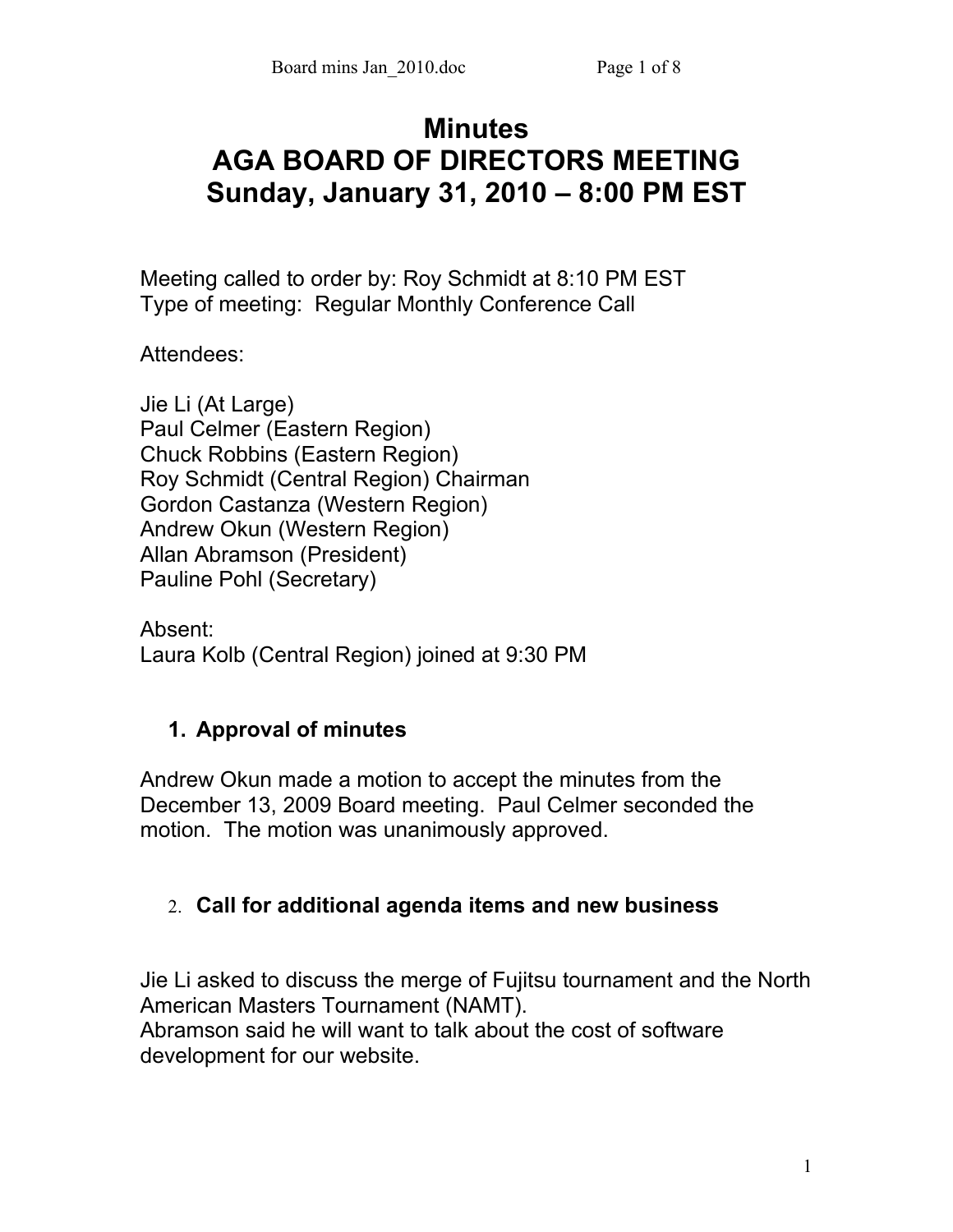# **Minutes AGA BOARD OF DIRECTORS MEETING Sunday, January 31, 2010 – 8:00 PM EST**

Meeting called to order by: Roy Schmidt at 8:10 PM EST Type of meeting: Regular Monthly Conference Call

Attendees:

Jie Li (At Large) Paul Celmer (Eastern Region) Chuck Robbins (Eastern Region) Roy Schmidt (Central Region) Chairman Gordon Castanza (Western Region) Andrew Okun (Western Region) Allan Abramson (President) Pauline Pohl (Secretary)

Absent: Laura Kolb (Central Region) joined at 9:30 PM

# **1. Approval of minutes**

Andrew Okun made a motion to accept the minutes from the December 13, 2009 Board meeting. Paul Celmer seconded the motion. The motion was unanimously approved.

# 2. **Call for additional agenda items and new business**

Jie Li asked to discuss the merge of Fujitsu tournament and the North American Masters Tournament (NAMT). Abramson said he will want to talk about the cost of software development for our website.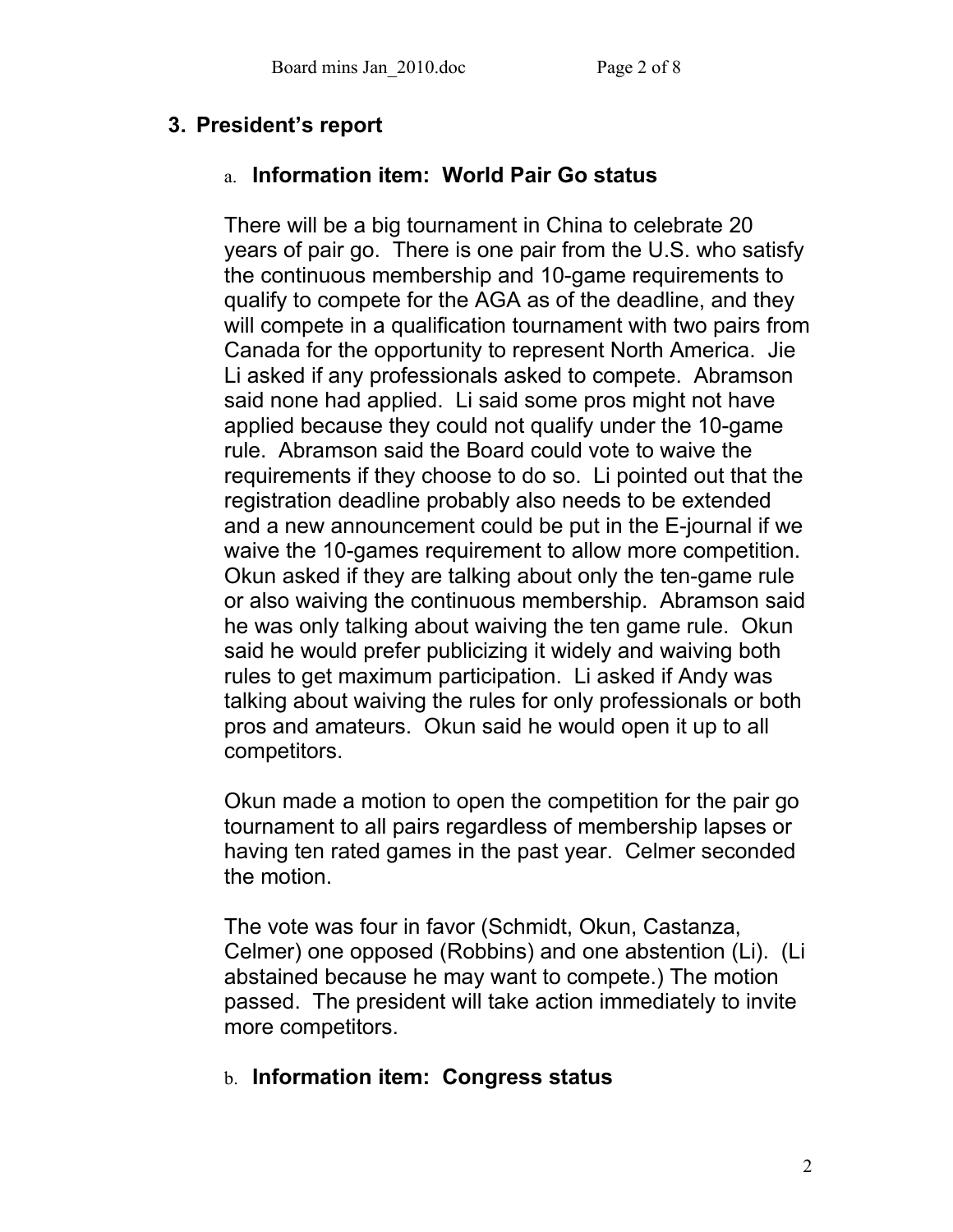# **3. President's report**

### a. **Information item: World Pair Go status**

There will be a big tournament in China to celebrate 20 years of pair go. There is one pair from the U.S. who satisfy the continuous membership and 10-game requirements to qualify to compete for the AGA as of the deadline, and they will compete in a qualification tournament with two pairs from Canada for the opportunity to represent North America. Jie Li asked if any professionals asked to compete. Abramson said none had applied. Li said some pros might not have applied because they could not qualify under the 10-game rule. Abramson said the Board could vote to waive the requirements if they choose to do so. Li pointed out that the registration deadline probably also needs to be extended and a new announcement could be put in the E-journal if we waive the 10-games requirement to allow more competition. Okun asked if they are talking about only the ten-game rule or also waiving the continuous membership. Abramson said he was only talking about waiving the ten game rule. Okun said he would prefer publicizing it widely and waiving both rules to get maximum participation. Li asked if Andy was talking about waiving the rules for only professionals or both pros and amateurs. Okun said he would open it up to all competitors.

Okun made a motion to open the competition for the pair go tournament to all pairs regardless of membership lapses or having ten rated games in the past year. Celmer seconded the motion.

The vote was four in favor (Schmidt, Okun, Castanza, Celmer) one opposed (Robbins) and one abstention (Li). (Li abstained because he may want to compete.) The motion passed. The president will take action immediately to invite more competitors.

# b. **Information item: Congress status**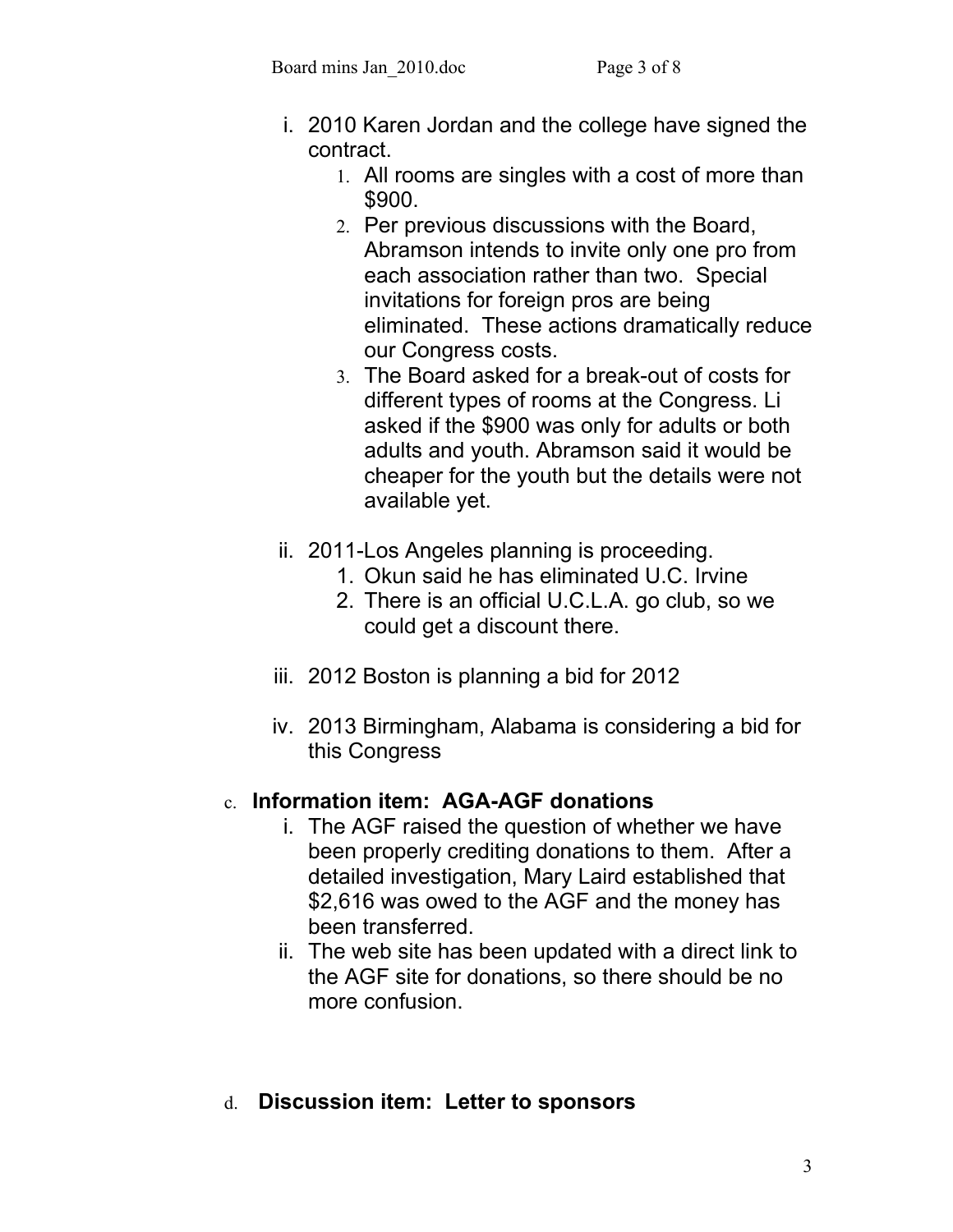- i. 2010 Karen Jordan and the college have signed the contract.
	- 1. All rooms are singles with a cost of more than \$900.
	- 2. Per previous discussions with the Board, Abramson intends to invite only one pro from each association rather than two. Special invitations for foreign pros are being eliminated. These actions dramatically reduce our Congress costs.
	- 3. The Board asked for a break-out of costs for different types of rooms at the Congress. Li asked if the \$900 was only for adults or both adults and youth. Abramson said it would be cheaper for the youth but the details were not available yet.
- ii. 2011-Los Angeles planning is proceeding.
	- 1. Okun said he has eliminated U.C. Irvine
	- 2. There is an official U.C.L.A. go club, so we could get a discount there.
- iii. 2012 Boston is planning a bid for 2012
- iv. 2013 Birmingham, Alabama is considering a bid for this Congress

# c. **Information item: AGA-AGF donations**

- i. The AGF raised the question of whether we have been properly crediting donations to them. After a detailed investigation, Mary Laird established that \$2,616 was owed to the AGF and the money has been transferred.
- ii. The web site has been updated with a direct link to the AGF site for donations, so there should be no more confusion.
- d. **Discussion item: Letter to sponsors**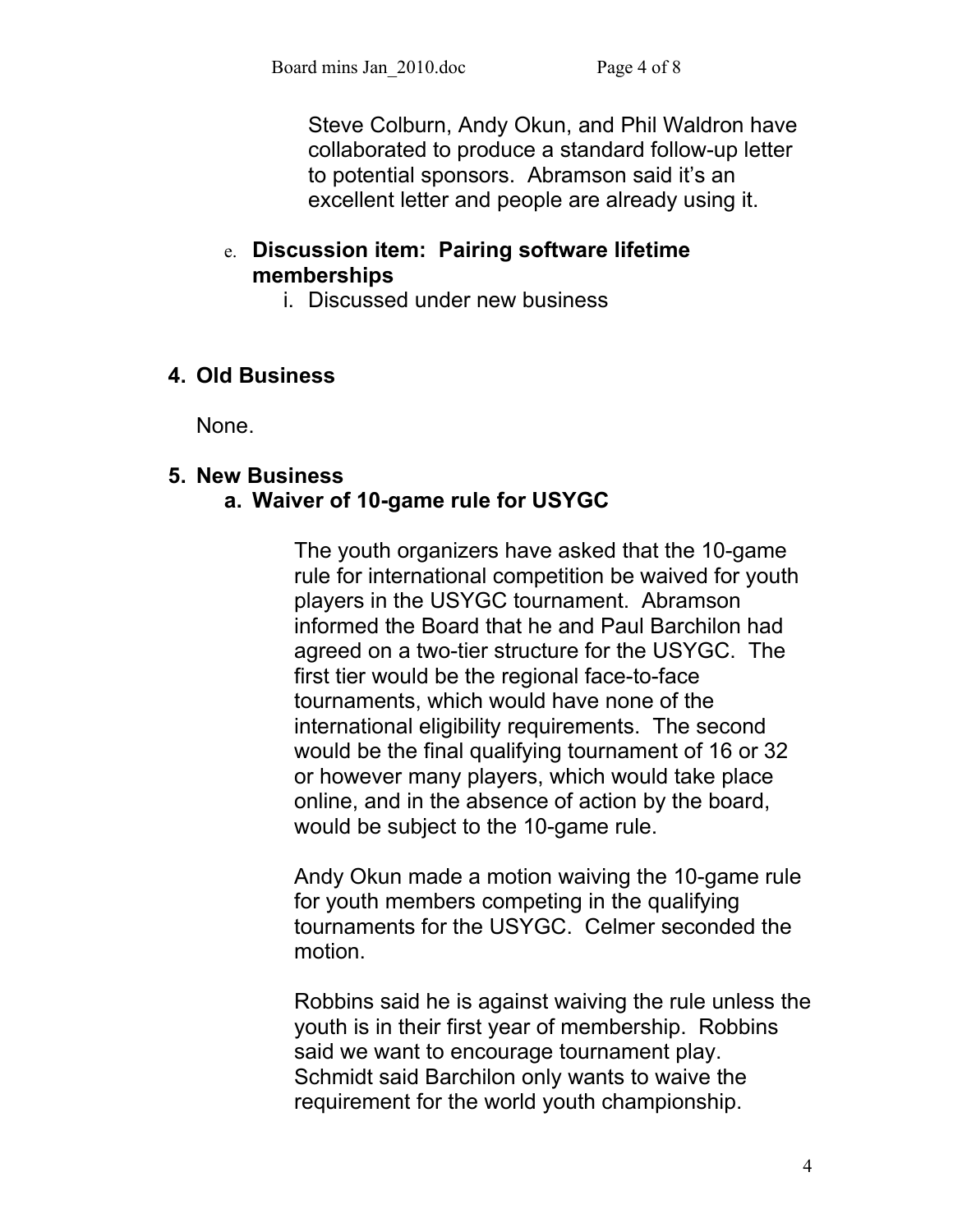Steve Colburn, Andy Okun, and Phil Waldron have collaborated to produce a standard follow-up letter to potential sponsors. Abramson said it's an excellent letter and people are already using it.

### e. **Discussion item: Pairing software lifetime memberships**

i. Discussed under new business

# **4. Old Business**

None.

#### **5. New Business a. Waiver of 10-game rule for USYGC**

The youth organizers have asked that the 10-game rule for international competition be waived for youth players in the USYGC tournament. Abramson informed the Board that he and Paul Barchilon had agreed on a two-tier structure for the USYGC. The first tier would be the regional face-to-face tournaments, which would have none of the international eligibility requirements. The second would be the final qualifying tournament of 16 or 32 or however many players, which would take place online, and in the absence of action by the board, would be subject to the 10-game rule.

Andy Okun made a motion waiving the 10-game rule for youth members competing in the qualifying tournaments for the USYGC. Celmer seconded the motion.

Robbins said he is against waiving the rule unless the youth is in their first year of membership. Robbins said we want to encourage tournament play. Schmidt said Barchilon only wants to waive the requirement for the world youth championship.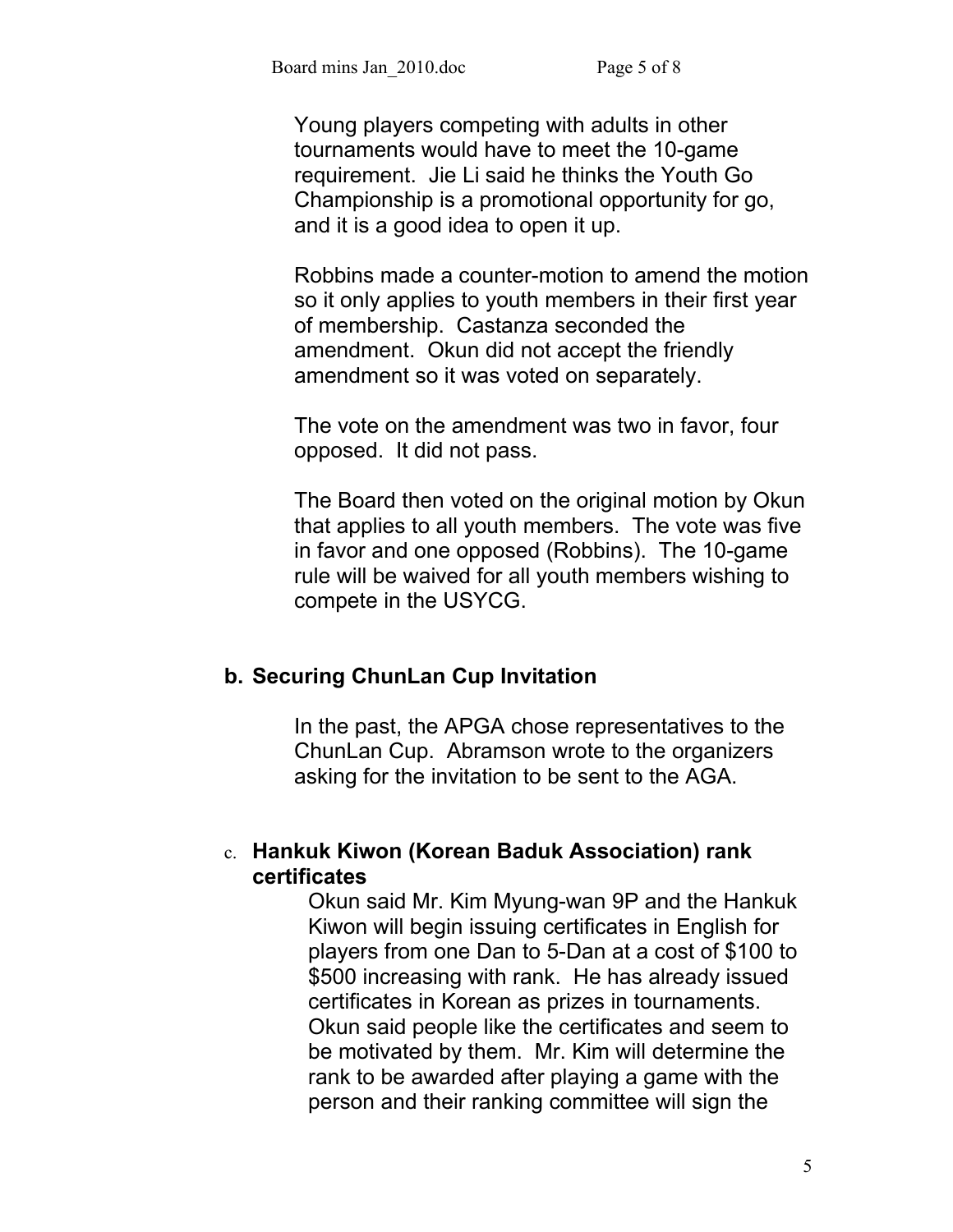Young players competing with adults in other tournaments would have to meet the 10-game requirement. Jie Li said he thinks the Youth Go Championship is a promotional opportunity for go, and it is a good idea to open it up.

Robbins made a counter-motion to amend the motion so it only applies to youth members in their first year of membership. Castanza seconded the amendment. Okun did not accept the friendly amendment so it was voted on separately.

The vote on the amendment was two in favor, four opposed. It did not pass.

The Board then voted on the original motion by Okun that applies to all youth members. The vote was five in favor and one opposed (Robbins). The 10-game rule will be waived for all youth members wishing to compete in the USYCG.

#### **b. Securing ChunLan Cup Invitation**

In the past, the APGA chose representatives to the ChunLan Cup. Abramson wrote to the organizers asking for the invitation to be sent to the AGA.

## c. **Hankuk Kiwon (Korean Baduk Association) rank certificates**

Okun said Mr. Kim Myung-wan 9P and the Hankuk Kiwon will begin issuing certificates in English for players from one Dan to 5-Dan at a cost of \$100 to \$500 increasing with rank.He has already issued certificates in Korean as prizes in tournaments. Okun said people like the certificates and seem to be motivated by them.Mr. Kim will determine the rank to be awarded after playing a game with the person and their ranking committee will sign the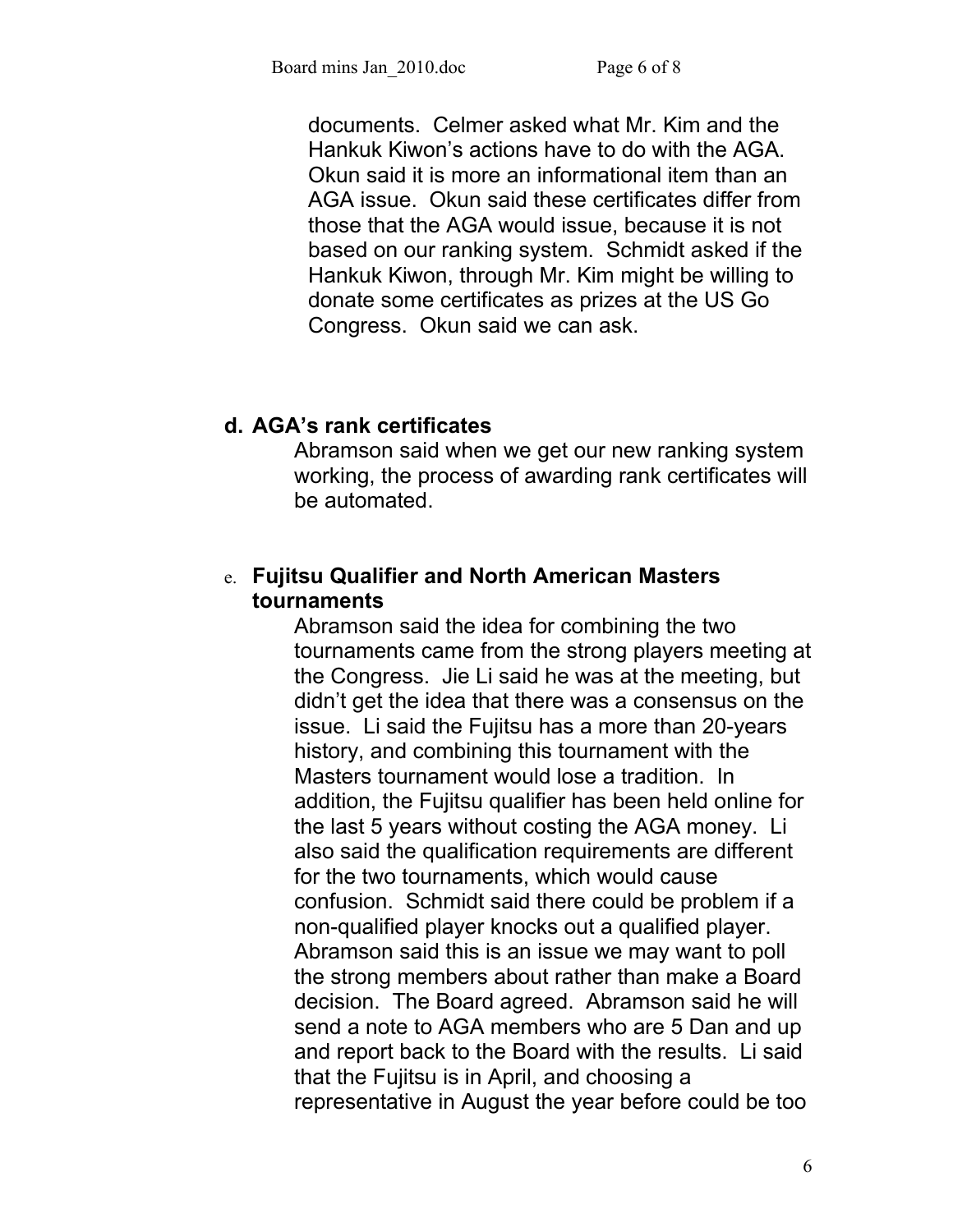documents.Celmer asked what Mr. Kim and the Hankuk Kiwon's actions have to do with the AGA. Okun said it is more an informational item than an AGA issue. Okun said these certificates differ from those that the AGA would issue, because it is not based on our ranking system. Schmidt asked if the Hankuk Kiwon, through Mr. Kim might be willing to donate some certificates as prizes at the US Go Congress. Okun said we can ask.

## **d. AGA's rank certificates**

Abramson said when we get our new ranking system working, the process of awarding rank certificates will be automated.

## e. **Fujitsu Qualifier and North American Masters tournaments**

Abramson said the idea for combining the two tournaments came from the strong players meeting at the Congress. Jie Li said he was at the meeting, but didn't get the idea that there was a consensus on the issue. Li said the Fujitsu has a more than 20-years history, and combining this tournament with the Masters tournament would lose a tradition. In addition, the Fujitsu qualifier has been held online for the last 5 years without costing the AGA money. Li also said the qualification requirements are different for the two tournaments, which would cause confusion. Schmidt said there could be problem if a non-qualified player knocks out a qualified player. Abramson said this is an issue we may want to poll the strong members about rather than make a Board decision. The Board agreed. Abramson said he will send a note to AGA members who are 5 Dan and up and report back to the Board with the results. Li said that the Fujitsu is in April, and choosing a representative in August the year before could be too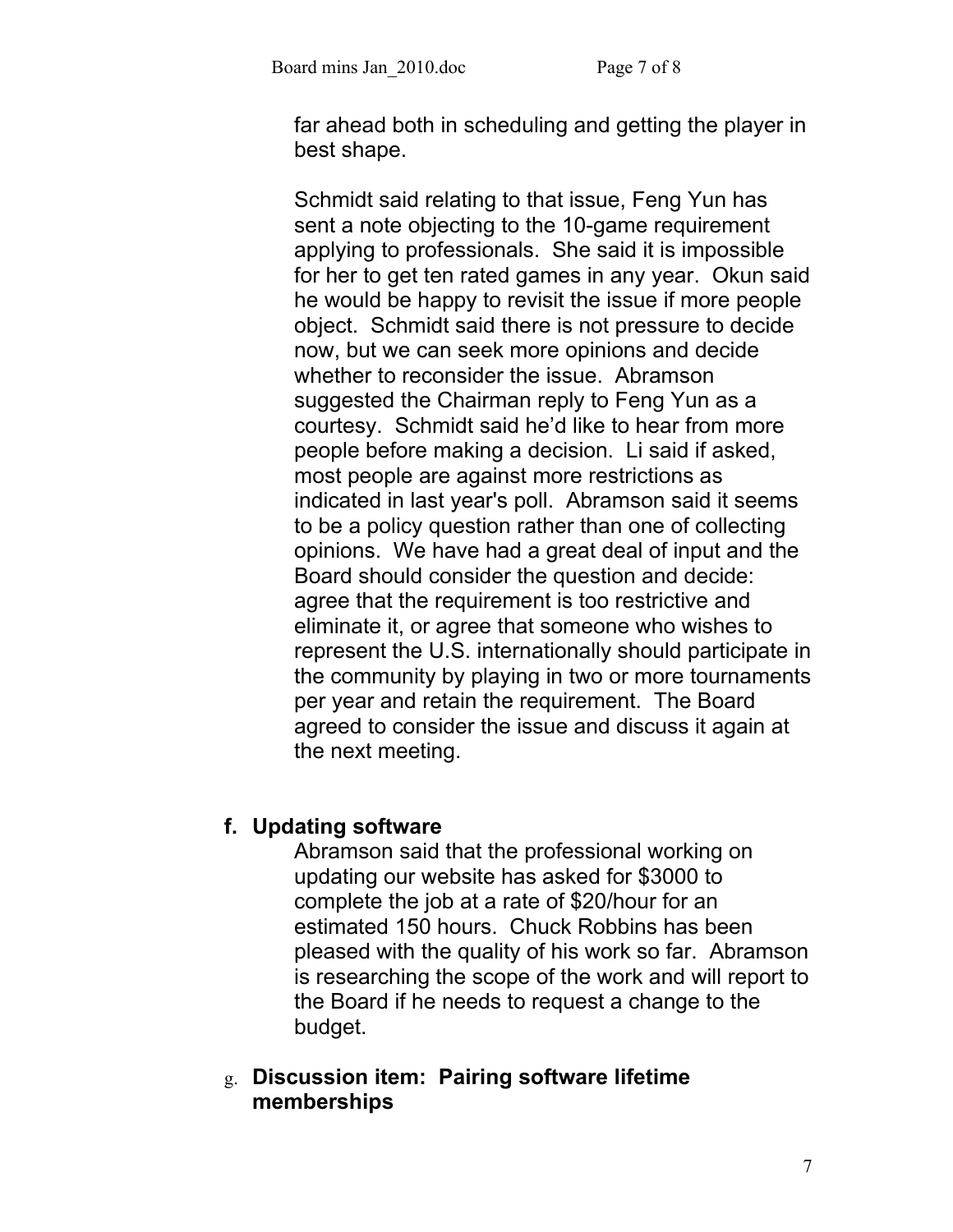far ahead both in scheduling and getting the player in best shape.

Schmidt said relating to that issue, Feng Yun has sent a note objecting to the 10-game requirement applying to professionals. She said it is impossible for her to get ten rated games in any year. Okun said he would be happy to revisit the issue if more people object. Schmidt said there is not pressure to decide now, but we can seek more opinions and decide whether to reconsider the issue. Abramson suggested the Chairman reply to Feng Yun as a courtesy. Schmidt said he'd like to hear from more people before making a decision. Li said if asked, most people are against more restrictions as indicated in last year's poll. Abramson said it seems to be a policy question rather than one of collecting opinions. We have had a great deal of input and the Board should consider the question and decide: agree that the requirement is too restrictive and eliminate it, or agree that someone who wishes to represent the U.S. internationally should participate in the community by playing in two or more tournaments per year and retain the requirement. The Board agreed to consider the issue and discuss it again at the next meeting.

# **f. Updating software**

Abramson said that the professional working on updating our website has asked for \$3000 to complete the job at a rate of \$20/hour for an estimated 150 hours. Chuck Robbins has been pleased with the quality of his work so far. Abramson is researching the scope of the work and will report to the Board if he needs to request a change to the budget.

g. **Discussion item: Pairing software lifetime memberships**